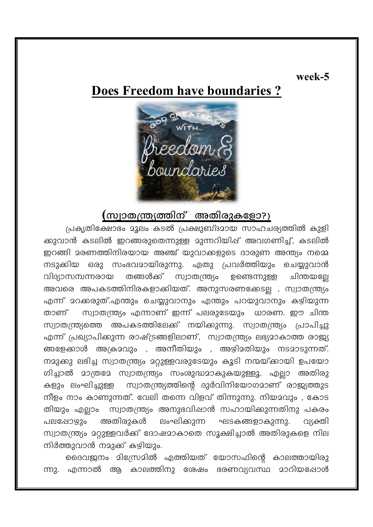#### week-5

# Does Freedom have boundaries?



### (സ്വാതന്ത്ര്യത്തിന് അതിരുകളോ?)

പ്രകൃതിക്ഷോഭം മൂലം കടൽ പ്രക്ഷുബ്ദമായ സാഹചര്യത്തിൽ കുളി ക്കുവാൻ കടലിൽ ഇറങ്ങരുതെന്നുള്ള മുന്നറിയിഷ് അവഗണിച്ച്, കടലിൽ ഇറങ്ങി മരണത്തിനിരയായ അഞ്ച് യുവാക്കളുടെ ദാരുണ അന്ത്യം നമ്മെ നടുക്കിയ ഒരു സംഭവമായിരുന്നു. ഏതു പ്രവർത്തിയും ചെയ്യുവാൻ തങ്ങൾക്ക് സ്വാതന്ത്ര്യം വിദ്യാസമ്പന്നരായ ഉണ്ടെന്നുള്ള ചിന്തയല്ലേ അവരെ അപകടത്തിനിരകളാക്കിയത്. അനുസരണക്കേടല്ല , സ്വാതന്ത്ര്യം എന്ന് മറക്കരുത്.എന്തും ചെയ്യുവാനും എന്തും പറയുവാനും കഴിയുന്ന താണ് സ്വാതന്ത്ര്യം എന്നാണ് ഇന്ന് പലരുടേയും ധാരണ. ഈ ചിന്ത സ്വാതന്ത്ര്യത്തെ അപകടത്തിലേക്ക് നയിക്കുന്നു. സ്വാതന്ത്ര്യം പ്രാപിച്ചു എന്ന് പ്രഖ്യാപിക്കുന്ന രാഷ്ട്രങ്ങളിലാണ്, സ്വാതന്ത്ര്യം ലഭ്യമാകാത്ത രാജ്യ ങ്ങളേക്കാൾ അക്രമവും , അനീതിയും , അഴിമതിയും നടമാടുന്നത്. നമുക്കു ലഭിച്ച സ്വാതന്ത്ര്യം മറ്റുള്ളവരുടേയും കൂടി നന്മയ്ക്കായി ഉപയോ ഗിച്ചാൽ മാത്രമേ സ്വാതന്ത്ര്യം സംശുദ്ധമാകുകയുള്ളൂ. എല്ലാ അതിരു സ്വാതന്ത്ര്യത്തിന്റെ ദുർവിനിയോഗമാണ് രാജ്യത്തുട കളും ലംഘിച്ചുള്ള നീളം നാം കാണുന്നത്. വേലി തന്നെ വിളവ് തിന്നുന്നു. നിയമവും , കോട സ്വാതന്ത്ര്യം അനുഭവിഷാൻ സഹായിക്കുന്നതിനു പകരം തിയും എല്ലാം അതിരുകൾ ലംഘിക്കുന്ന പലപ്പോഴ്യാം ഘടകങ്ങളാകുന്നു. വക്തി സ്വാതന്ത്ര്യം മറ്റുള്ളവർക്ക് ദോഷമാകാതെ സൂക്ഷിച്ചാൽ അതിരുകളെ നില നിർത്തുവാൻ നമുക്ക് കഴിയും.

ദൈവജനം മിന്ധ്രേമിൽ എത്തിയത് യോസഫിന്റെ കാലത്തായിരു ന്നു. എന്നാൽ ആ കാലത്തിനു ശേഷം ഭരണവ്യവസ്ഥ മാറിയപ്പോൾ